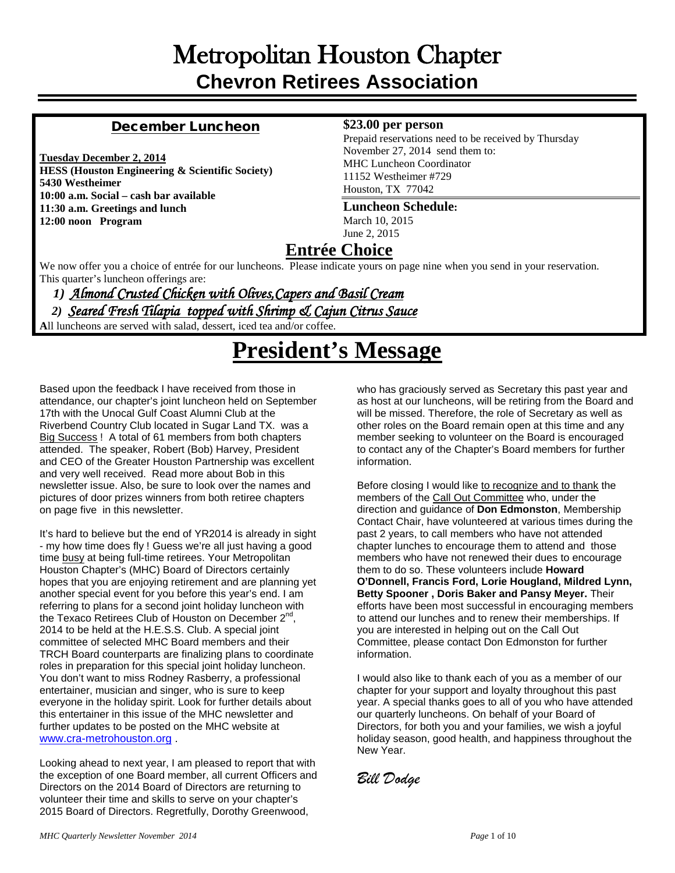# Metropolitan Houston Chapter **Chevron Retirees Association**

#### December Luncheon

**Tuesday December 2, 2014 HESS (Houston Engineering & Scientific Society) 5430 Westheimer 10:00 a.m. Social – cash bar available 11:30 a.m. Greetings and lunch 12:00 noon Program**

#### **\$23.00 per person**

Prepaid reservations need to be received by Thursday November 27, 2014 send them to: MHC Luncheon Coordinator 11152 Westheimer #729 Houston, TX 77042

#### **Luncheon Schedule:**

March 10, 2015 June 2, 2015

## **Entrée Choice**

We now offer you a choice of entrée for our luncheons. Please indicate yours on page nine when you send in your reservation. This quarter's luncheon offerings are:

 *1) Almond Crusted Chicken with Olives,Capers and Basil Cream* 

*2)**Seared Fresh Tilapia topped with Shrimp & Cajun Citrus Sauce*

**A**ll luncheons are served with salad, dessert, iced tea and/or coffee.

# **President's Message**

Based upon the feedback I have received from those in attendance, our chapter's joint luncheon held on September 17th with the Unocal Gulf Coast Alumni Club at the Riverbend Country Club located in Sugar Land TX. was a Big Success! A total of 61 members from both chapters attended. The speaker, Robert (Bob) Harvey, President and CEO of the Greater Houston Partnership was excellent and very well received. Read more about Bob in this newsletter issue. Also, be sure to look over the names and pictures of door prizes winners from both retiree chapters on page five in this newsletter.

It's hard to believe but the end of YR2014 is already in sight - my how time does fly ! Guess we're all just having a good time busy at being full-time retirees. Your Metropolitan Houston Chapter's (MHC) Board of Directors certainly hopes that you are enjoying retirement and are planning yet another special event for you before this year's end. I am referring to plans for a second joint holiday luncheon with the Texaco Retirees Club of Houston on December  $2^{nd}$ , 2014 to be held at the H.E.S.S. Club. A special joint committee of selected MHC Board members and their TRCH Board counterparts are finalizing plans to coordinate roles in preparation for this special joint holiday luncheon. You don't want to miss Rodney Rasberry, a professional entertainer, musician and singer, who is sure to keep everyone in the holiday spirit. Look for further details about this entertainer in this issue of the MHC newsletter and further updates to be posted on the MHC website at [www.cra-metrohouston.org](http://www.cra-metrohouston.org/) .

Looking ahead to next year, I am pleased to report that with the exception of one Board member, all current Officers and Directors on the 2014 Board of Directors are returning to volunteer their time and skills to serve on your chapter's 2015 Board of Directors. Regretfully, Dorothy Greenwood,

who has graciously served as Secretary this past year and as host at our luncheons, will be retiring from the Board and will be missed. Therefore, the role of Secretary as well as other roles on the Board remain open at this time and any member seeking to volunteer on the Board is encouraged to contact any of the Chapter's Board members for further information.

Before closing I would like to recognize and to thank the members of the Call Out Committee who, under the direction and guidance of **Don Edmonston**, Membership Contact Chair, have volunteered at various times during the past 2 years, to call members who have not attended chapter lunches to encourage them to attend and those members who have not renewed their dues to encourage them to do so. These volunteers include **Howard O'Donnell, Francis Ford, Lorie Hougland, Mildred Lynn, Betty Spooner , Doris Baker and Pansy Meyer.** Their efforts have been most successful in encouraging members to attend our lunches and to renew their memberships. If you are interested in helping out on the Call Out Committee, please contact Don Edmonston for further information.

I would also like to thank each of you as a member of our chapter for your support and loyalty throughout this past year. A special thanks goes to all of you who have attended our quarterly luncheons. On behalf of your Board of Directors, for both you and your families, we wish a joyful holiday season, good health, and happiness throughout the New Year.

*Bill Dodge*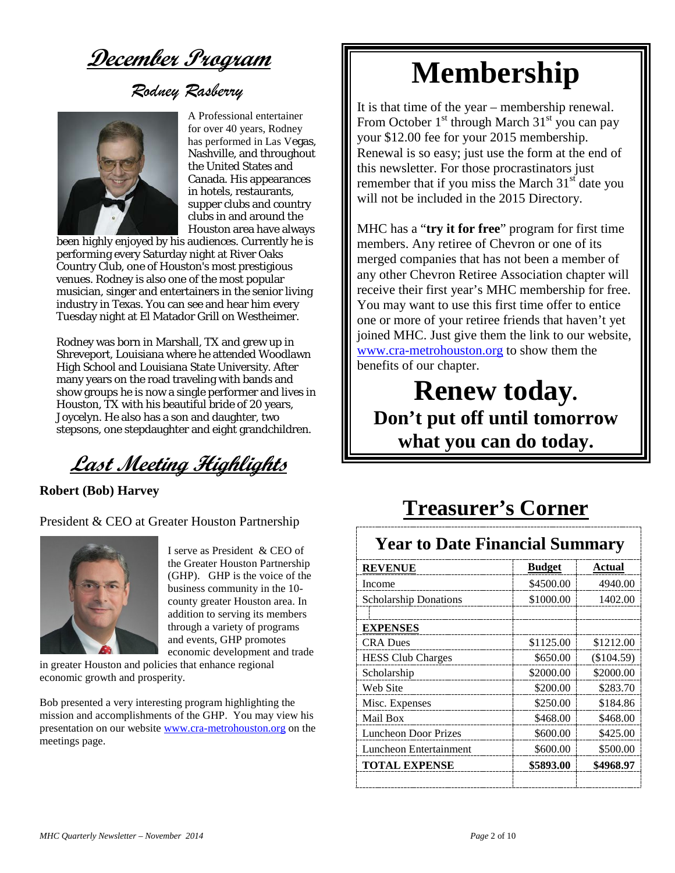**December Program**

*Rodney Rasberry*



A Professional entertainer for over 40 years, Rodney has performed in Las Vegas, Nashville, and throughout the United States and Canada. His appearances in hotels, restaurants, supper clubs and country clubs in and around the Houston area have always

been highly enjoyed by his audiences. Currently he is performing every Saturday night at River Oaks Country Club, one of Houston's most prestigious venues. Rodney is also one of the most popular musician, singer and entertainers in the senior living industry in Texas. You can see and hear him every Tuesday night at El Matador Grill on Westheimer.

Rodney was born in Marshall, TX and grew up in Shreveport, Louisiana where he attended Woodlawn High School and Louisiana State University. After many years on the road traveling with bands and show groups he is now a single performer and lives in Houston, TX with his beautiful bride of 20 years, Joycelyn. He also has a son and daughter, two stepsons, one stepdaughter and eight grandchildren.

**Last Meeting Highlights**

**Robert (Bob) Harvey**

President & CEO at Greater Houston Partnership



I serve as President & CEO of the Greater Houston Partnership (GHP). GHP is the voice of the business community in the 10 county greater Houston area. In addition to serving its members through a variety of programs and events, GHP promotes economic development and trade

in greater Houston and policies that enhance regional economic growth and prosperity.

Bob presented a very interesting program highlighting the mission and accomplishments of the GHP. You may view his presentation on our websit[e www.cra-metrohouston.org](http://www.cra-metrohouston.org/) on the meetings page.

# **Membership**

It is that time of the year – membership renewal. From October  $1<sup>st</sup>$  through March  $31<sup>st</sup>$  you can pay your \$12.00 fee for your 2015 membership. Renewal is so easy; just use the form at the end of this newsletter. For those procrastinators just remember that if you miss the March  $31<sup>st</sup>$  date you will not be included in the 2015 Directory.

MHC has a "**try it for free**" program for first time members. Any retiree of Chevron or one of its merged companies that has not been a member of any other Chevron Retiree Association chapter will receive their first year's MHC membership for free. You may want to use this first time offer to entice one or more of your retiree friends that haven't yet joined MHC. Just give them the link to our website, [www.cra-metrohouston.org](http://www.cra-metrohouston.org/) to show them the benefits of our chapter.

**Renew today. Don't put off until tomorrow what you can do today.**

# **Treasurer's Corner**

## **Year to Date Financial Summary**

| <b>REVENUE</b>               | <b>Budget</b> | Actual       |
|------------------------------|---------------|--------------|
| Income                       | \$4500.00     | 4940.00      |
| <b>Scholarship Donations</b> | \$1000.00     | 1402.00      |
|                              |               |              |
| <b>EXPENSES</b>              |               |              |
| <b>CRA</b> Dues              | \$1125.00     | \$1212.00    |
| <b>HESS Club Charges</b>     | \$650.00      | $(\$104.59)$ |
| Scholarship                  | \$2000.00     | \$2000.00    |
| Web Site                     | \$200.00      | \$283.70     |
| Misc. Expenses               | \$250.00      | \$184.86     |
| Mail Box                     | \$468.00      | \$468.00     |
| Luncheon Door Prizes         | \$600.00      | \$425.00     |
| Luncheon Entertainment       | \$600.00      | \$500.00     |
| <b>TOTAL EXPENSE</b>         | \$5893.00     | \$4968.97    |
|                              |               |              |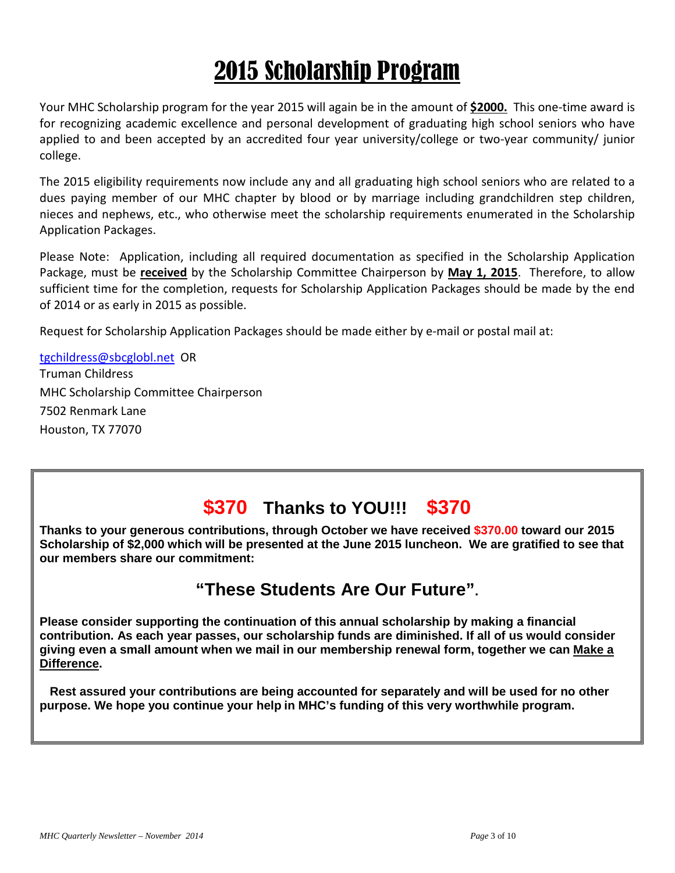# 2015 Scholarship Program

Your MHC Scholarship program for the year 2015 will again be in the amount of **\$2000.** This one-time award is for recognizing academic excellence and personal development of graduating high school seniors who have applied to and been accepted by an accredited four year university/college or two-year community/ junior college.

The 2015 eligibility requirements now include any and all graduating high school seniors who are related to a dues paying member of our MHC chapter by blood or by marriage including grandchildren step children, nieces and nephews, etc., who otherwise meet the scholarship requirements enumerated in the Scholarship Application Packages.

Please Note: Application, including all required documentation as specified in the Scholarship Application Package, must be **received** by the Scholarship Committee Chairperson by **May 1, 2015**. Therefore, to allow sufficient time for the completion, requests for Scholarship Application Packages should be made by the end of 2014 or as early in 2015 as possible.

Request for Scholarship Application Packages should be made either by e-mail or postal mail at:

[tgchildress@sbcglobl.net](mailto:tgchildress@sbcglobl.net) OR Truman Childress MHC Scholarship Committee Chairperson 7502 Renmark Lane Houston, TX 77070

# **\$370 Thanks to YOU!!! \$370**

**Thanks to your generous contributions, through October we have received \$370.00 toward our 2015 Scholarship of \$2,000 which will be presented at the June 2015 luncheon. We are gratified to see that our members share our commitment:** 

## **"These Students Are Our Future".**

**Please consider supporting the continuation of this annual scholarship by making a financial contribution. As each year passes, our scholarship funds are diminished. If all of us would consider giving even a small amount when we mail in our membership renewal form, together we can Make a Difference.**

 **Rest assured your contributions are being accounted for separately and will be used for no other purpose. We hope you continue your help in MHC's funding of this very worthwhile program.**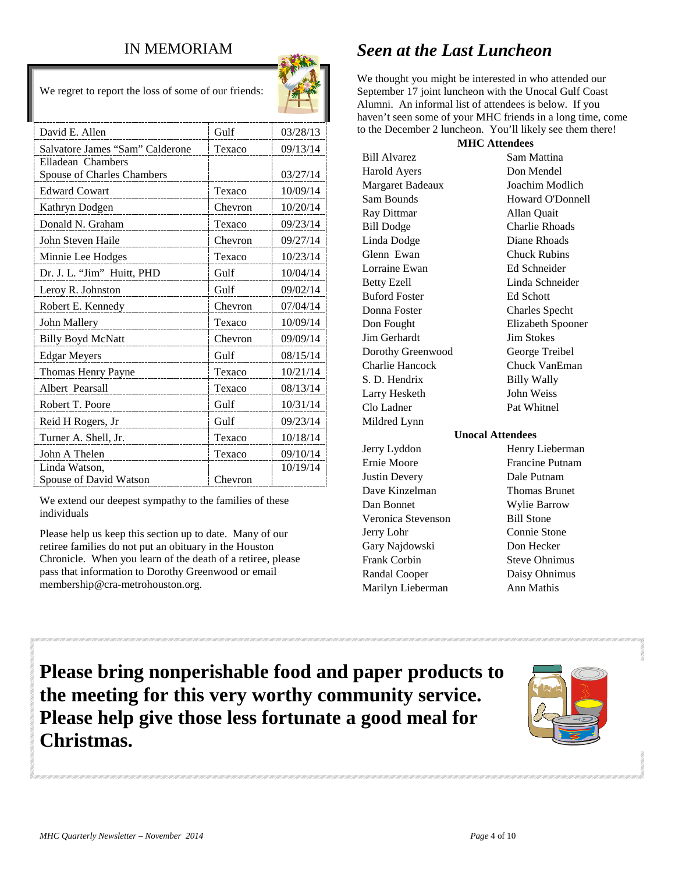## IN MEMORIAM

We regret to report the loss of some of our friends:



| David E. Allen                  | Gulf    | 03/28/13 |
|---------------------------------|---------|----------|
| Salvatore James "Sam" Calderone | Texaco  | 09/13/14 |
| Elladean Chambers               |         |          |
| Spouse of Charles Chambers      |         | 03/27/14 |
| <b>Edward Cowart</b>            | Texaco  | 10/09/14 |
| Kathryn Dodgen                  | Chevron | 10/20/14 |
| Donald N. Graham                | Texaco  | 09/23/14 |
| John Steven Haile               | Chevron | 09/27/14 |
| Minnie Lee Hodges               | Texaco  | 10/23/14 |
| Dr. J. L. "Jim" Huitt, PHD      | Gulf    | 10/04/14 |
| Leroy R. Johnston               | Gulf    | 09/02/14 |
| Robert E. Kennedy               | Chevron | 07/04/14 |
| John Mallery                    | Texaco  | 10/09/14 |
| <b>Billy Boyd McNatt</b>        | Chevron | 09/09/14 |
| <b>Edgar Meyers</b>             | Gulf    | 08/15/14 |
| Thomas Henry Payne              | Texaco  | 10/21/14 |
| Albert Pearsall                 | Texaco  | 08/13/14 |
| Robert T. Poore                 | Gulf    | 10/31/14 |
| Reid H Rogers, Jr               | Gulf    | 09/23/14 |
| Turner A. Shell, Jr.            | Texaco  | 10/18/14 |
| John A Thelen                   | Texaco  | 09/10/14 |
| Linda Watson,                   |         | 10/19/14 |
| Spouse of David Watson          | Chevron |          |

We extend our deepest sympathy to the families of these individuals

Please help us keep this section up to date. Many of our retiree families do not put an obituary in the Houston Chronicle. When you learn of the death of a retiree, please pass that information to Dorothy Greenwood or email membership@cra-metrohouston.org.

# *Seen at the Last Luncheon*

We thought you might be interested in who attended our September 17 joint luncheon with the Unocal Gulf Coast Alumni. An informal list of attendees is below. If you haven't seen some of your MHC friends in a long time, come to the December 2 luncheon. You'll likely see them there!

| <b>MHC</b> Attendees |                         |  |
|----------------------|-------------------------|--|
| <b>Bill Alvarez</b>  | Sam Mattina             |  |
| Harold Ayers         | Don Mendel              |  |
| Margaret Badeaux     | Joachim Modlich         |  |
| Sam Bounds           | <b>Howard O'Donnell</b> |  |
| Ray Dittmar          | Allan Quait             |  |
| <b>Bill Dodge</b>    | <b>Charlie Rhoads</b>   |  |
| Linda Dodge          | Diane Rhoads            |  |
| Glenn Ewan           | <b>Chuck Rubins</b>     |  |
| Lorraine Ewan        | Ed Schneider            |  |
| <b>Betty Ezell</b>   | Linda Schneider         |  |
| <b>Buford Foster</b> | <b>Ed Schott</b>        |  |
| Donna Foster         | <b>Charles Specht</b>   |  |
| Don Fought           | Elizabeth Spooner       |  |
| Jim Gerhardt         | <b>Jim Stokes</b>       |  |
| Dorothy Greenwood    | George Treibel          |  |
| Charlie Hancock      | Chuck VanEman           |  |
| S. D. Hendrix        | <b>Billy Wally</b>      |  |
| Larry Hesketh        | John Weiss              |  |
| Clo Ladner           | Pat Whitnel             |  |
| Mildred Lynn         |                         |  |
| Unocal Attendees     |                         |  |

Jerry Lyddon Henry Lieberman Ernie Moore Francine Putnam Justin Devery Dale Putnam Dave Kinzelman Thomas Brunet Dan Bonnet Wylie Barrow Veronica Stevenson Bill Stone Jerry Lohr Connie Stone Gary Najdowski Don Hecker Frank Corbin Steve Ohnimus Randal Cooper Daisy Ohnimus Marilyn Lieberman Ann Mathis

**Please bring nonperishable food and paper products to the meeting for this very worthy community service. Please help give those less fortunate a good meal for Christmas.**

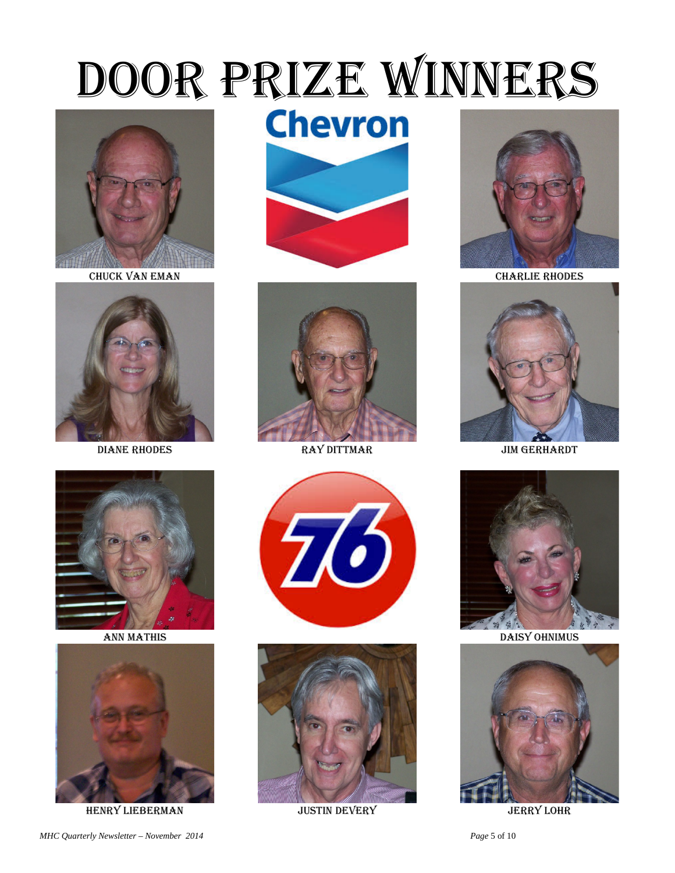# DOOR PRIZE WINNERS



CHUCK VAN EMAN



**DIANE RHODES** 



**ANN MATHIS** 



**HENRY LIEBERMAN** 

**Chevron** 





**RAY DITTMAR** 





**JUSTIN DEVERY** 



**CHARLIE RHODES** 



**JIM GERHARDT** 



**DAISY OHNIMUS** 



**JERRY LOHR**